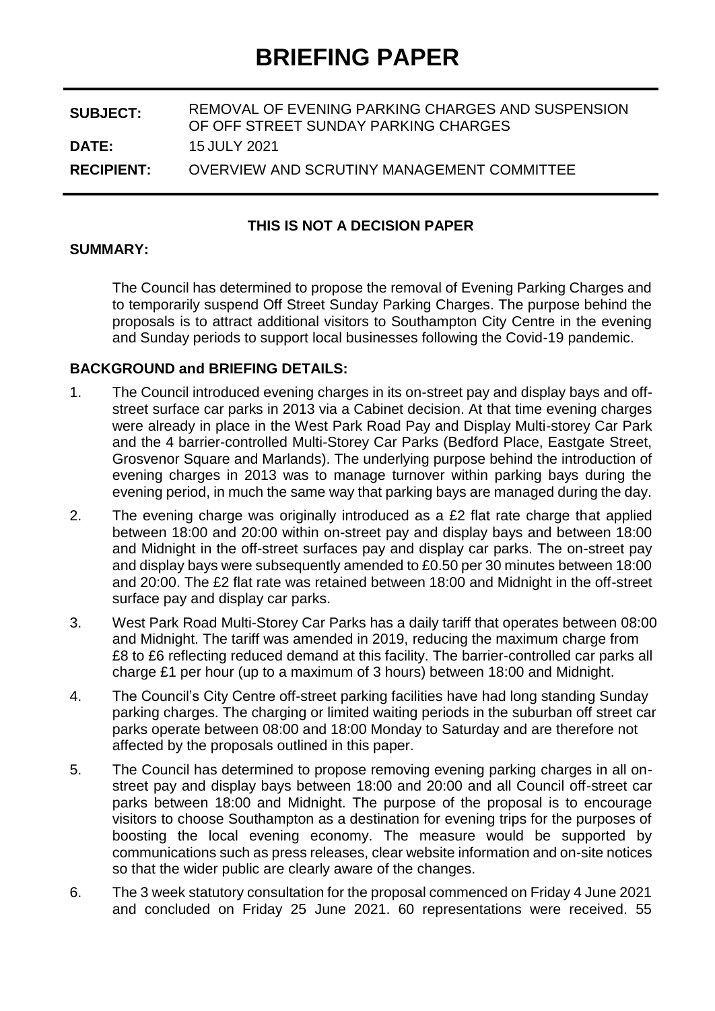| <b>SUBJECT:</b>   | REMOVAL OF EVENING PARKING CHARGES AND SUSPENSION<br>OF OFF STREET SUNDAY PARKING CHARGES |
|-------------------|-------------------------------------------------------------------------------------------|
| <b>DATE:</b>      | 15 JULY 2021                                                                              |
| <b>RECIPIENT:</b> | OVERVIEW AND SCRUTINY MANAGEMENT COMMITTEE                                                |

#### **THIS IS NOT A DECISION PAPER**

#### **SUMMARY:**

The Council has determined to propose the removal of Evening Parking Charges and to temporarily suspend Off Street Sunday Parking Charges. The purpose behind the proposals is to attract additional visitors to Southampton City Centre in the evening and Sunday periods to support local businesses following the Covid-19 pandemic.

#### **BACKGROUND and BRIEFING DETAILS:**

- 1. The Council introduced evening charges in its on-street pay and display bays and offstreet surface car parks in 2013 via a Cabinet decision. At that time evening charges were already in place in the West Park Road Pay and Display Multi-storey Car Park and the 4 barrier-controlled Multi-Storey Car Parks (Bedford Place, Eastgate Street, Grosvenor Square and Marlands). The underlying purpose behind the introduction of evening charges in 2013 was to manage turnover within parking bays during the evening period, in much the same way that parking bays are managed during the day.
- 2. The evening charge was originally introduced as a £2 flat rate charge that applied between 18:00 and 20:00 within on-street pay and display bays and between 18:00 and Midnight in the off-street surfaces pay and display car parks. The on-street pay and display bays were subsequently amended to £0.50 per 30 minutes between 18:00 and 20:00. The £2 flat rate was retained between 18:00 and Midnight in the off-street surface pay and display car parks.
- 3. West Park Road Multi-Storey Car Parks has a daily tariff that operates between 08:00 and Midnight. The tariff was amended in 2019, reducing the maximum charge from £8 to £6 reflecting reduced demand at this facility. The barrier-controlled car parks all charge £1 per hour (up to a maximum of 3 hours) between 18:00 and Midnight.
- 4. The Council's City Centre off-street parking facilities have had long standing Sunday parking charges. The charging or limited waiting periods in the suburban off street car parks operate between 08:00 and 18:00 Monday to Saturday and are therefore not affected by the proposals outlined in this paper.
- 5. The Council has determined to propose removing evening parking charges in all onstreet pay and display bays between 18:00 and 20:00 and all Council off-street car parks between 18:00 and Midnight. The purpose of the proposal is to encourage visitors to choose Southampton as a destination for evening trips for the purposes of boosting the local evening economy. The measure would be supported by communications such as press releases, clear website information and on-site notices so that the wider public are clearly aware of the changes.
- 6. The 3 week statutory consultation for the proposal commenced on Friday 4 June 2021 and concluded on Friday 25 June 2021. 60 representations were received. 55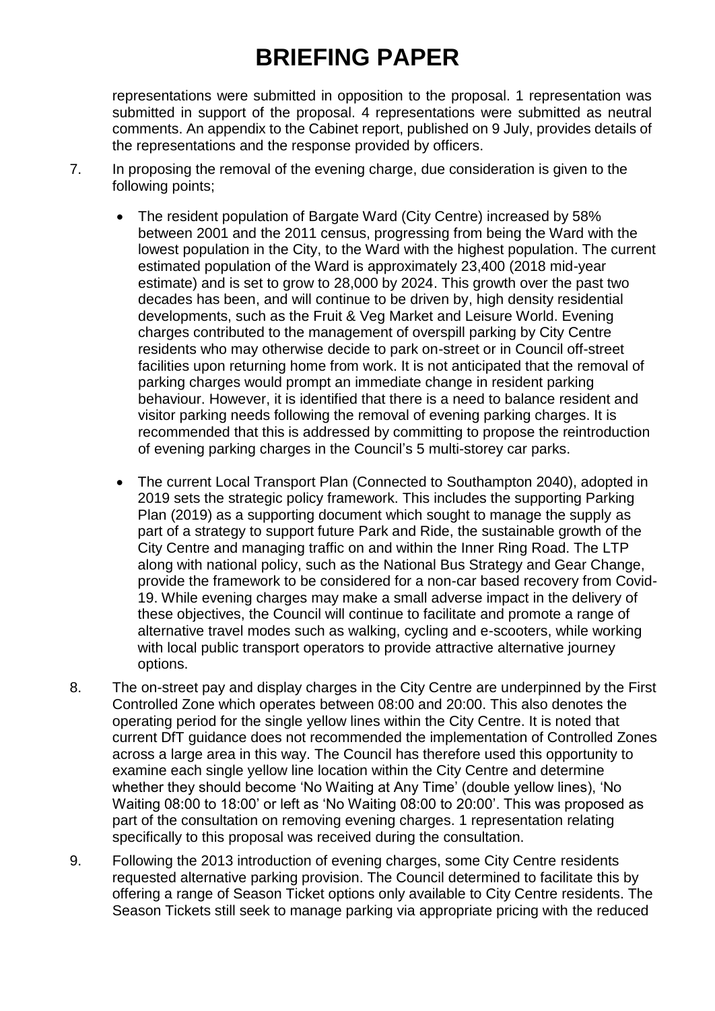representations were submitted in opposition to the proposal. 1 representation was submitted in support of the proposal. 4 representations were submitted as neutral comments. An appendix to the Cabinet report, published on 9 July, provides details of the representations and the response provided by officers.

- 7. In proposing the removal of the evening charge, due consideration is given to the following points;
	- The resident population of Bargate Ward (City Centre) increased by 58% between 2001 and the 2011 census, progressing from being the Ward with the lowest population in the City, to the Ward with the highest population. The current estimated population of the Ward is approximately 23,400 (2018 mid-year estimate) and is set to grow to 28,000 by 2024. This growth over the past two decades has been, and will continue to be driven by, high density residential developments, such as the Fruit & Veg Market and Leisure World. Evening charges contributed to the management of overspill parking by City Centre residents who may otherwise decide to park on-street or in Council off-street facilities upon returning home from work. It is not anticipated that the removal of parking charges would prompt an immediate change in resident parking behaviour. However, it is identified that there is a need to balance resident and visitor parking needs following the removal of evening parking charges. It is recommended that this is addressed by committing to propose the reintroduction of evening parking charges in the Council's 5 multi-storey car parks.
	- The current Local Transport Plan (Connected to Southampton 2040), adopted in 2019 sets the strategic policy framework. This includes the supporting Parking Plan (2019) as a supporting document which sought to manage the supply as part of a strategy to support future Park and Ride, the sustainable growth of the City Centre and managing traffic on and within the Inner Ring Road. The LTP along with national policy, such as the National Bus Strategy and Gear Change, provide the framework to be considered for a non-car based recovery from Covid-19. While evening charges may make a small adverse impact in the delivery of these objectives, the Council will continue to facilitate and promote a range of alternative travel modes such as walking, cycling and e-scooters, while working with local public transport operators to provide attractive alternative journey options.
- 8. The on-street pay and display charges in the City Centre are underpinned by the First Controlled Zone which operates between 08:00 and 20:00. This also denotes the operating period for the single yellow lines within the City Centre. It is noted that current DfT guidance does not recommended the implementation of Controlled Zones across a large area in this way. The Council has therefore used this opportunity to examine each single yellow line location within the City Centre and determine whether they should become 'No Waiting at Any Time' (double yellow lines), 'No Waiting 08:00 to 18:00' or left as 'No Waiting 08:00 to 20:00'. This was proposed as part of the consultation on removing evening charges. 1 representation relating specifically to this proposal was received during the consultation.
- 9. Following the 2013 introduction of evening charges, some City Centre residents requested alternative parking provision. The Council determined to facilitate this by offering a range of Season Ticket options only available to City Centre residents. The Season Tickets still seek to manage parking via appropriate pricing with the reduced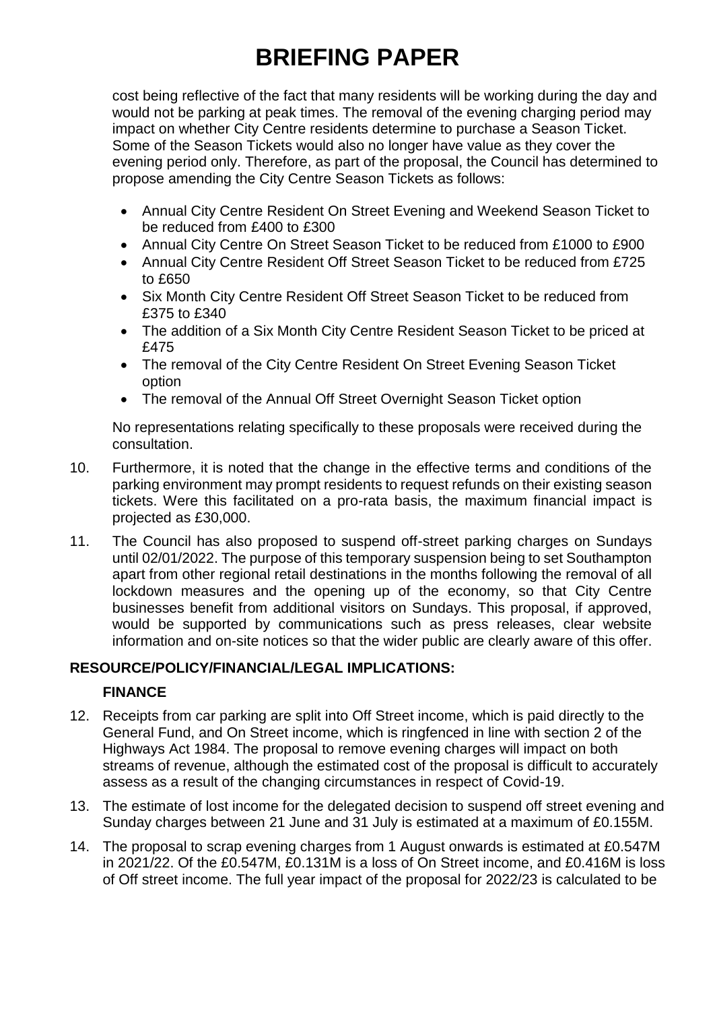cost being reflective of the fact that many residents will be working during the day and would not be parking at peak times. The removal of the evening charging period may impact on whether City Centre residents determine to purchase a Season Ticket. Some of the Season Tickets would also no longer have value as they cover the evening period only. Therefore, as part of the proposal, the Council has determined to propose amending the City Centre Season Tickets as follows:

- Annual City Centre Resident On Street Evening and Weekend Season Ticket to be reduced from £400 to £300
- Annual City Centre On Street Season Ticket to be reduced from £1000 to £900
- Annual City Centre Resident Off Street Season Ticket to be reduced from £725 to £650
- Six Month City Centre Resident Off Street Season Ticket to be reduced from £375 to £340
- The addition of a Six Month City Centre Resident Season Ticket to be priced at £475
- The removal of the City Centre Resident On Street Evening Season Ticket option
- The removal of the Annual Off Street Overnight Season Ticket option

No representations relating specifically to these proposals were received during the consultation.

- 10. Furthermore, it is noted that the change in the effective terms and conditions of the parking environment may prompt residents to request refunds on their existing season tickets. Were this facilitated on a pro-rata basis, the maximum financial impact is projected as £30,000.
- 11. The Council has also proposed to suspend off-street parking charges on Sundays until 02/01/2022. The purpose of this temporary suspension being to set Southampton apart from other regional retail destinations in the months following the removal of all lockdown measures and the opening up of the economy, so that City Centre businesses benefit from additional visitors on Sundays. This proposal, if approved, would be supported by communications such as press releases, clear website information and on-site notices so that the wider public are clearly aware of this offer.

## **RESOURCE/POLICY/FINANCIAL/LEGAL IMPLICATIONS:**

## **FINANCE**

- 12. Receipts from car parking are split into Off Street income, which is paid directly to the General Fund, and On Street income, which is ringfenced in line with section 2 of the Highways Act 1984. The proposal to remove evening charges will impact on both streams of revenue, although the estimated cost of the proposal is difficult to accurately assess as a result of the changing circumstances in respect of Covid-19.
- 13. The estimate of lost income for the delegated decision to suspend off street evening and Sunday charges between 21 June and 31 July is estimated at a maximum of £0.155M.
- 14. The proposal to scrap evening charges from 1 August onwards is estimated at £0.547M in 2021/22. Of the £0.547M, £0.131M is a loss of On Street income, and £0.416M is loss of Off street income. The full year impact of the proposal for 2022/23 is calculated to be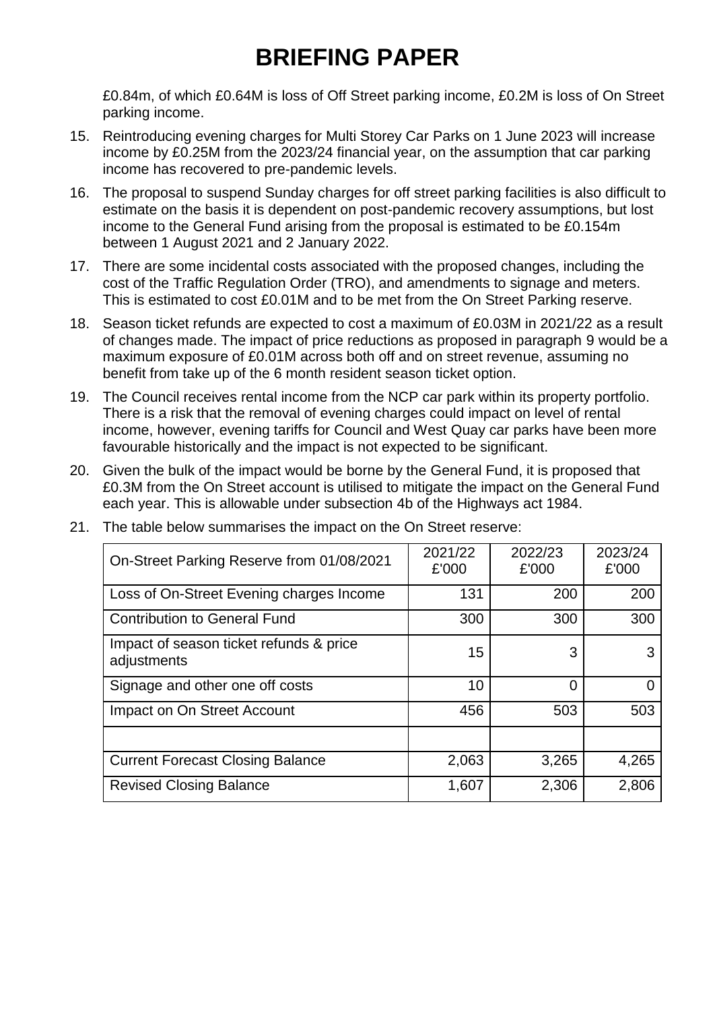£0.84m, of which £0.64M is loss of Off Street parking income, £0.2M is loss of On Street parking income.

- 15. Reintroducing evening charges for Multi Storey Car Parks on 1 June 2023 will increase income by £0.25M from the 2023/24 financial year, on the assumption that car parking income has recovered to pre-pandemic levels.
- 16. The proposal to suspend Sunday charges for off street parking facilities is also difficult to estimate on the basis it is dependent on post-pandemic recovery assumptions, but lost income to the General Fund arising from the proposal is estimated to be £0.154m between 1 August 2021 and 2 January 2022.
- 17. There are some incidental costs associated with the proposed changes, including the cost of the Traffic Regulation Order (TRO), and amendments to signage and meters. This is estimated to cost £0.01M and to be met from the On Street Parking reserve.
- 18. Season ticket refunds are expected to cost a maximum of £0.03M in 2021/22 as a result of changes made. The impact of price reductions as proposed in paragraph 9 would be a maximum exposure of £0.01M across both off and on street revenue, assuming no benefit from take up of the 6 month resident season ticket option.
- 19. The Council receives rental income from the NCP car park within its property portfolio. There is a risk that the removal of evening charges could impact on level of rental income, however, evening tariffs for Council and West Quay car parks have been more favourable historically and the impact is not expected to be significant.
- 20. Given the bulk of the impact would be borne by the General Fund, it is proposed that £0.3M from the On Street account is utilised to mitigate the impact on the General Fund each year. This is allowable under subsection 4b of the Highways act 1984.

| On-Street Parking Reserve from 01/08/2021              | 2021/22<br>£'000 | 2022/23<br>£'000 | 2023/24<br>£'000 |
|--------------------------------------------------------|------------------|------------------|------------------|
| Loss of On-Street Evening charges Income               | 131              | 200              | 200              |
| <b>Contribution to General Fund</b>                    | 300              | 300              | 300              |
| Impact of season ticket refunds & price<br>adjustments | 15               | 3                |                  |
| Signage and other one off costs                        | 10               | 0                |                  |
| Impact on On Street Account                            | 456              | 503              | 503              |
| <b>Current Forecast Closing Balance</b>                | 2,063            | 3,265            | 4,265            |
| <b>Revised Closing Balance</b>                         | 1,607            | 2,306            | 2,806            |

21. The table below summarises the impact on the On Street reserve: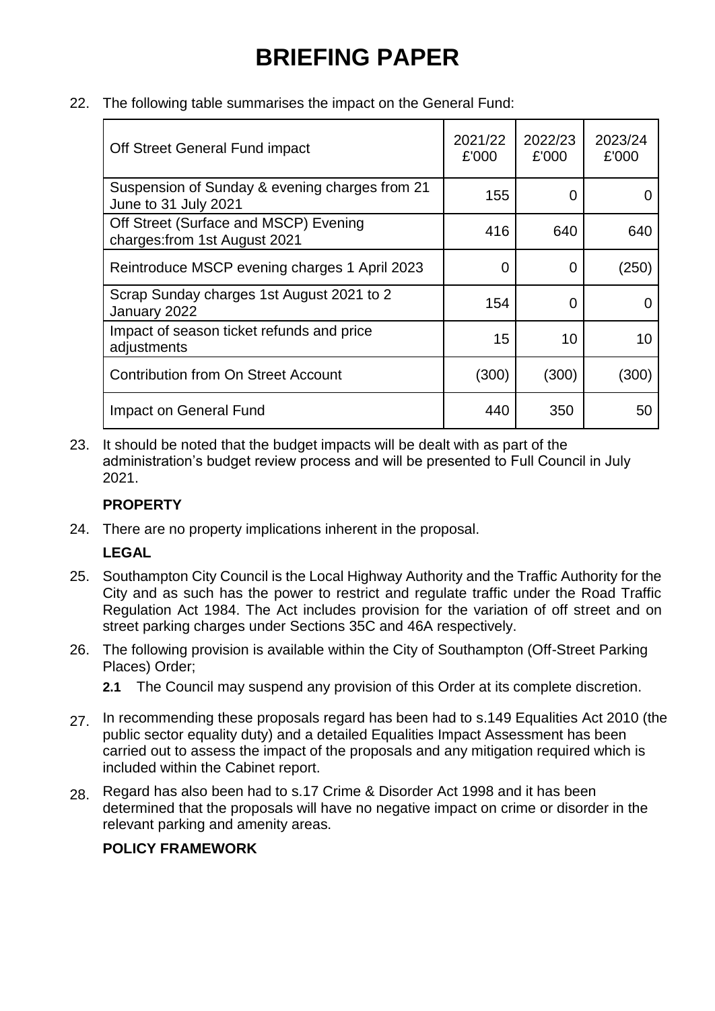22. The following table summarises the impact on the General Fund:

| Off Street General Fund impact                                         | 2021/22<br>£'000 | 2022/23<br>£'000 | 2023/24<br>£'000 |
|------------------------------------------------------------------------|------------------|------------------|------------------|
| Suspension of Sunday & evening charges from 21<br>June to 31 July 2021 | 155              | 0                |                  |
| Off Street (Surface and MSCP) Evening<br>charges: from 1st August 2021 | 416              | 640              | 640              |
| Reintroduce MSCP evening charges 1 April 2023                          | 0                | 0                | (250)            |
| Scrap Sunday charges 1st August 2021 to 2<br>January 2022              | 154              | 0                |                  |
| Impact of season ticket refunds and price<br>adjustments               | 15               | 10               | 10               |
| <b>Contribution from On Street Account</b>                             | (300)            | (300)            | (300)            |
| Impact on General Fund                                                 | 440              | 350              | 50               |

23. It should be noted that the budget impacts will be dealt with as part of the administration's budget review process and will be presented to Full Council in July 2021.

### **PROPERTY**

24. There are no property implications inherent in the proposal.

#### **LEGAL**

- 25. Southampton City Council is the Local Highway Authority and the Traffic Authority for the City and as such has the power to restrict and regulate traffic under the Road Traffic Regulation Act 1984. The Act includes provision for the variation of off street and on street parking charges under Sections 35C and 46A respectively.
- 26. The following provision is available within the City of Southampton (Off-Street Parking Places) Order;
	- **2.1** The Council may suspend any provision of this Order at its complete discretion.
- 27. In recommending these proposals regard has been had to s.149 Equalities Act 2010 (the public sector equality duty) and a detailed Equalities Impact Assessment has been carried out to assess the impact of the proposals and any mitigation required which is included within the Cabinet report.
- 28. Regard has also been had to s.17 Crime & Disorder Act 1998 and it has been determined that the proposals will have no negative impact on crime or disorder in the relevant parking and amenity areas.

### **POLICY FRAMEWORK**